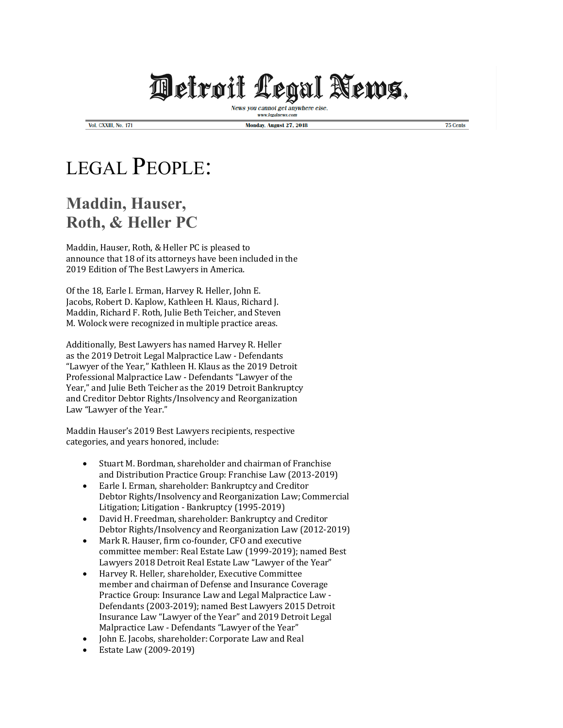## **Welroil Legal News.**

News you cannot get anywhere else www.legalnews.com

Vol. CXXIII, No. 171

Monday, August 27, 2018

75 Cents

## LEGAL PEOPLE:

## **Maddin, Hauser, Roth, & Heller PC**

Maddin, Hauser, Roth, & Heller PC is pleased to announce that 18 of its attorneys have been included in the 2019 Edition of The Best Lawyers in America.

Of the 18, Earle I. Erman, Harvey R. Heller, John E. Jacobs, Robert D. Kaplow, Kathleen H. Klaus, Richard J. Maddin, Richard F. Roth, Julie Beth Teicher, and Steven M. Wolock were recognized in multiple practice areas.

Additionally, Best Lawyers has named Harvey R. Heller as the 2019 Detroit Legal Malpractice Law - Defendants "Lawyer of the Year." Kathleen H. Klaus as the 2019 Detroit Professional Malpractice Law - Defendants "Lawyer of the Year," and Julie Beth Teicher as the 2019 Detroit Bankruptcy and Creditor Debtor Rights/Insolvency and Reorganization Law "Lawyer of the Year."

Maddin Hauser's 2019 Best Lawyers recipients, respective categories, and years honored, include:

- Stuart M. Bordman, shareholder and chairman of Franchise and Distribution Practice Group: Franchise Law (2013-2019)
- Earle I. Erman, shareholder: Bankruptcy and Creditor Debtor Rights/Insolvency and Reorganization Law; Commercial Litigation; Litigation - Bankruptcy (1995-2019)
- David H. Freedman, shareholder: Bankruptcy and Creditor Debtor Rights/Insolvency and Reorganization Law (2012-2019)
- Mark R. Hauser, firm co-founder, CFO and executive committee member: Real Estate Law (1999-2019); named Best Lawyers 2018 Detroit Real Estate Law "Lawyer of the Year"
- Harvey R. Heller, shareholder, Executive Committee member and chairman of Defense and Insurance Coverage Practice Group: Insurance Law and Legal Malpractice Law -Defendants (2003-2019); named Best Lawyers 2015 Detroit Insurance Law "Lawyer of the Year" and 2019 Detroit Legal Malpractice Law - Defendants "Lawyer of the Year"
- John E. Jacobs, shareholder: Corporate Law and Real
- Estate Law (2009-2019)